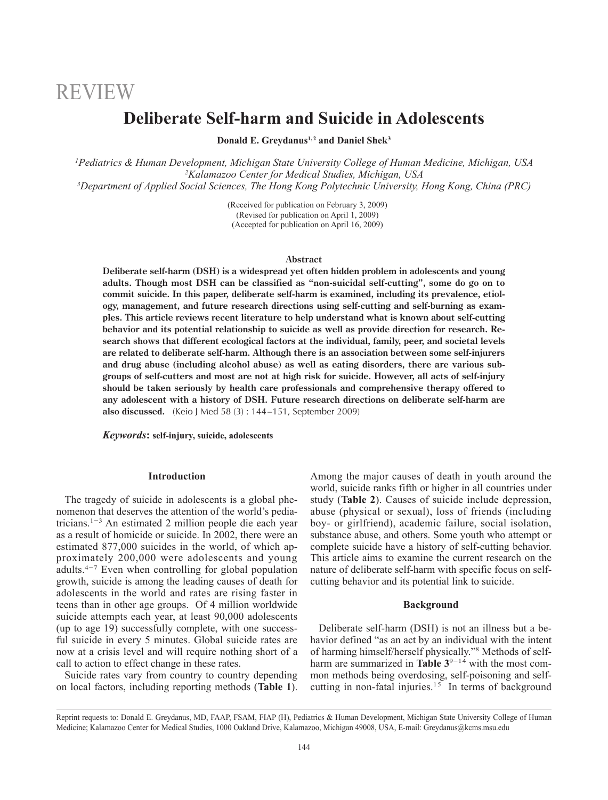# REVIEW

## **Deliberate Self-harm and Suicide in Adolescents**

**Donald E. Greydanus1, <sup>2</sup> and Daniel Shek3**

*1 Pediatrics & Human Development, Michigan State University College of Human Medicine, Michigan, USA 2 Kalamazoo Center for Medical Studies, Michigan, USA 3 Department of Applied Social Sciences, The Hong Kong Polytechnic University, Hong Kong, China (PRC)*

> (Received for publication on February 3, 2009) (Revised for publication on April 1, 2009) (Accepted for publication on April 16, 2009)

#### **Abstract**

**Deliberate self-harm (DSH) is a widespread yet often hidden problem in adolescents and young adults. Though most DSH can be classified as "non-suicidal self-cutting", some do go on to commit suicide. In this paper, deliberate self-harm is examined, including its prevalence, etiology, management, and future research directions using self-cutting and self-burning as examples. This article reviews recent literature to help understand what is known about self-cutting behavior and its potential relationship to suicide as well as provide direction for research. Research shows that different ecological factors at the individual, family, peer, and societal levels are related to deliberate self-harm. Although there is an association between some self-injurers and drug abuse (including alcohol abuse) as well as eating disorders, there are various subgroups of self-cutters and most are not at high risk for suicide. However, all acts of self-injury should be taken seriously by health care professionals and comprehensive therapy offered to any adolescent with a history of DSH. Future research directions on deliberate self-harm are also discussed.** (Keio J Med 58 (3) : 144-151, September 2009)

#### *Keywords***: self-injury, suicide, adolescents**

### **Introduction**

The tragedy of suicide in adolescents is a global phenomenon that deserves the attention of the world's pedianomenon that deserves the attention of the world's pediatricians.<sup>1-3</sup> An estimated 2 million people die each year as a result of homicide or suicide. In 2002, there were an estimated 877,000 suicides in the world, of which approximately 200,000 were adolescents and young proximately 200,000 were adolescents and young<br>adults.<sup>4-7</sup> Even when controlling for global population growth, suicide is among the leading causes of death for adolescents in the world and rates are rising faster in teens than in other age groups. Of 4 million worldwide suicide attempts each year, at least 90,000 adolescents (up to age  $19$ ) successfully complete, with one successful suicide in every 5 minutes. Global suicide rates are now at a crisis level and will require nothing short of a call to action to effect change in these rates.

Suicide rates vary from country to country depending on local factors, including reporting methods (**Table 1**). Among the major causes of death in youth around the world, suicide ranks fifth or higher in all countries under study (**Table 2**). Causes of suicide include depression, abuse (physical or sexual), loss of friends (including boy- or girlfriend), academic failure, social isolation, substance abuse, and others. Some youth who attempt or complete suicide have a history of self-cutting behavior. This article aims to examine the current research on the nature of deliberate self-harm with specific focus on selfcutting behavior and its potential link to suicide.

#### **Background**

Deliberate self-harm (DSH) is not an illness but a behavior defined "as an act by an individual with the intent of harming himself/herself physically."8 Methods of selfharm are summarized in **Table**  $3^{9-14}$  with the most common methods being overdosing, self-poisoning and selfcutting in non-fatal injuries.<sup>15</sup> In terms of background

Reprint requests to: Donald E. Greydanus, MD, FAAP, FSAM, FIAP (H), Pediatrics & Human Development, Michigan State University College of Human Medicine; Kalamazoo Center for Medical Studies, 1000 Oakland Drive, Kalamazoo, Michigan 49008, USA, E-mail: Greydanus@kcms.msu.edu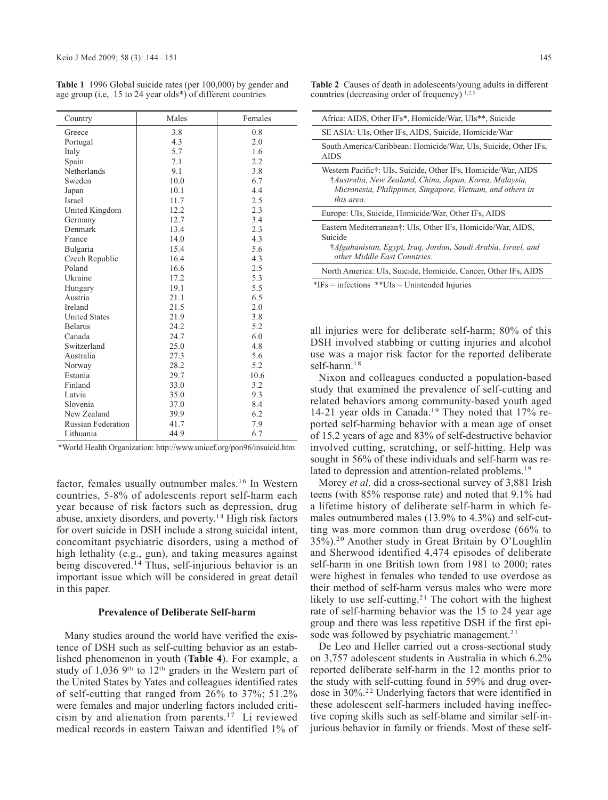| Country                   | Males | Females |
|---------------------------|-------|---------|
| Greece                    | 3.8   | 0.8     |
| Portugal                  | 4.3   | 2.0     |
| Italy                     | 5.7   | 1.6     |
| Spain                     | 7.1   | 2.2     |
| Netherlands               | 9.1   | 3.8     |
| Sweden                    | 10.0  | 6.7     |
| Japan                     | 10.1  | 4.4     |
| Israel                    | 11.7  | 2.5     |
| United Kingdom            | 12.2  | 2.3     |
| Germany                   | 12.7  | 3.4     |
| Denmark                   | 13.4  | 2.3     |
| France                    | 14.0  | 4.3     |
| Bulgaria                  | 15.4  | 5.6     |
| Czech Republic            | 16.4  | 4.3     |
| Poland                    | 16.6  | 2.5     |
| Ukraine                   | 17.2  | 5.3     |
| Hungary                   | 19.1  | 5.5     |
| Austria                   | 21.1  | 6.5     |
| Ireland                   | 21.5  | 2.0     |
| <b>United States</b>      | 21.9  | 3.8     |
| <b>Belarus</b>            | 24.2  | 5.2     |
| Canada                    | 24.7  | 6.0     |
| Switzerland               | 25.0  | 4.8     |
| Australia                 | 27.3  | 5.6     |
| Norway                    | 28.2  | 5.2     |
| Estonia                   | 29.7  | 10.6    |
| Finland                   | 33.0  | 3.2     |
| Latvia                    | 35.0  | 9.3     |
| Slovenia                  | 37.0  | 8.4     |
| New Zealand               | 39.9  | 6.2     |
| <b>Russian Federation</b> | 41.7  | 7.9     |
| Lithuania                 | 44.9  | 6.7     |

**Table 1** 1996 Global suicide rates (per 100,000) by gender and age group (i.e, 15 to 24 year olds\*) of different countries

\*World Health Organization: http://www.unicef.org/pon96/insuicid.htm

factor, females usually outnumber males.16 In Western countries, 5-8% of adolescents report self-harm each year because of risk factors such as depression, drug abuse, anxiety disorders, and poverty.14 High risk factors for overt suicide in DSH include a strong suicidal intent, concomitant psychiatric disorders, using a method of high lethality (e.g., gun), and taking measures against being discovered.14 Thus, self-injurious behavior is an important issue which will be considered in great detail in this paper.

#### **Prevalence of Deliberate Self-harm**

Many studies around the world have verified the existence of DSH such as self-cutting behavior as an established phenomenon in youth (**Table 4**). For example, a study of 1,036 9th to 12th graders in the Western part of the United States by Yates and colleagues identified rates of self-cutting that ranged from 26% to 37%; 51.2% were females and major underling factors included criticism by and alienation from parents.17 Li reviewed medical records in eastern Taiwan and identified 1% of

| Africa: AIDS, Other IFs*, Homicide/War, UIs**, Suicide                                                                                                                                               |
|------------------------------------------------------------------------------------------------------------------------------------------------------------------------------------------------------|
| SE ASIA: UIs, Other IFs, AIDS, Suicide, Homicide/War                                                                                                                                                 |
| South America/Caribbean: Homicide/War, UIs, Suicide, Other IFs,<br>AIDS                                                                                                                              |
| Western Pacific†: UIs, Suicide, Other IFs, Homicide/War, AIDS<br>†Australia, New Zealand, China, Japan, Korea, Malaysia,<br>Micronesia, Philippines, Singapore, Vietnam, and others in<br>this area. |
| Europe: UIs, Suicide, Homicide/War, Other IFs, AIDS                                                                                                                                                  |
| Eastern Mediterranean†: UIs, Other IFs, Homicide/War, AIDS,<br>Suicide<br>†Afgahanistan, Egypt, Iraq, Jordan, Saudi Arabia, Israel, and<br>other Middle East Countries.                              |
| North America: UIs, Suicide, Homicide, Cancer, Other IFs, AIDS                                                                                                                                       |
| $*$ IFs = infections $*$ UIs = Unintended Injuries                                                                                                                                                   |

all injuries were for deliberate self-harm; 80% of this DSH involved stabbing or cutting injuries and alcohol use was a major risk factor for the reported deliberate self-harm.<sup>18</sup>

Nixon and colleagues conducted a population-based study that examined the prevalence of self-cutting and related behaviors among community-based youth aged 14-21 year olds in Canada.19 They noted that 17% reported self-harming behavior with a mean age of onset of 15.2 years of age and 83% of self-destructive behavior involved cutting, scratching, or self-hitting. Help was sought in 56% of these individuals and self-harm was related to depression and attention-related problems.<sup>19</sup>

Morey *et al*. did a cross-sectional survey of 3,881 Irish teens (with 85% response rate) and noted that 9.1% had a lifetime history of deliberate self-harm in which females outnumbered males (13.9% to 4.3%) and self-cutting was more common than drug overdose (66% to 35%).20 Another study in Great Britain by O'Loughlin and Sherwood identified 4,474 episodes of deliberate self-harm in one British town from 1981 to 2000; rates were highest in females who tended to use overdose as their method of self-harm versus males who were more likely to use self-cutting.<sup>21</sup> The cohort with the highest rate of self-harming behavior was the 15 to 24 year age group and there was less repetitive DSH if the first episode was followed by psychiatric management.<sup>21</sup>

De Leo and Heller carried out a cross-sectional study on 3,757 adolescent students in Australia in which 6.2% reported deliberate self-harm in the 12 months prior to the study with self-cutting found in 59% and drug overdose in 30%.22 Underlying factors that were identified in these adolescent self-harmers included having ineffective coping skills such as self-blame and similar self-injurious behavior in family or friends. Most of these self-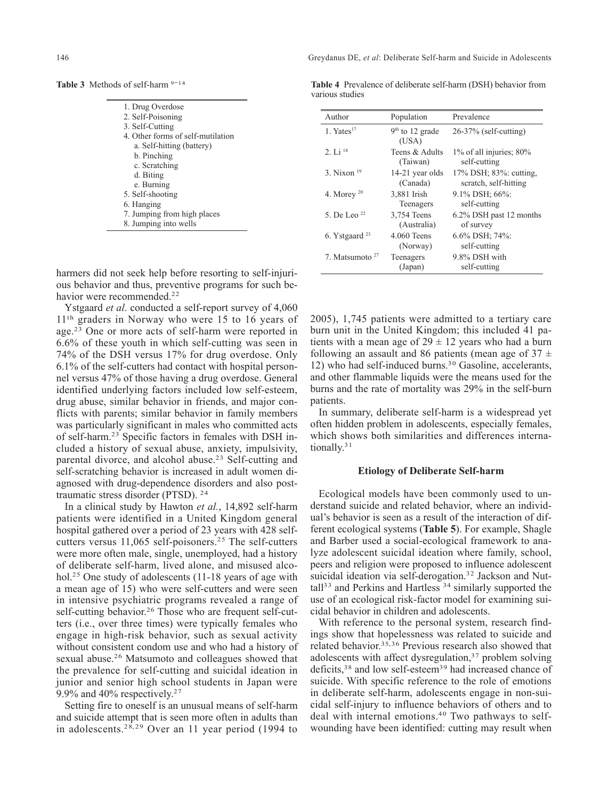Table 3 Methods of self-harm <sup>9-14</sup>

| 1. Drug Overdose                  |  |
|-----------------------------------|--|
| 2. Self-Poisoning                 |  |
| 3. Self-Cutting                   |  |
| 4. Other forms of self-mutilation |  |
| a. Self-hitting (battery)         |  |
| b. Pinching                       |  |
| c. Scratching                     |  |
| d. Biting                         |  |
| e. Burning                        |  |
| 5. Self-shooting                  |  |
| 6. Hanging                        |  |
| 7. Jumping from high places       |  |
| 8. Jumping into wells             |  |

harmers did not seek help before resorting to self-injurious behavior and thus, preventive programs for such behavior were recommended<sup>22</sup>

Ystgaard *et al*. conducted a self-report survey of 4,060 11th graders in Norway who were 15 to 16 years of age.23 One or more acts of self-harm were reported in 6.6% of these youth in which self-cutting was seen in 74% of the DSH versus 17% for drug overdose. Only 6.1% of the self-cutters had contact with hospital personnel versus 47% of those having a drug overdose. General identified underlying factors included low self-esteem, drug abuse, similar behavior in friends, and major conflicts with parents; similar behavior in family members was particularly significant in males who committed acts of self-harm.23 Specific factors in females with DSH included a history of sexual abuse, anxiety, impulsivity, parental divorce, and alcohol abuse.<sup>23</sup> Self-cutting and self-scratching behavior is increased in adult women diagnosed with drug-dependence disorders and also posttraumatic stress disorder (PTSD). 24

In a clinical study by Hawton *et al.*, 14,892 self-harm patients were identified in a United Kingdom general hospital gathered over a period of 23 years with 428 selfcutters versus 11,065 self-poisoners.25 The self-cutters were more often male, single, unemployed, had a history of deliberate self-harm, lived alone, and misused alcohol.<sup>25</sup> One study of adolescents (11-18 years of age with a mean age of 15) who were self-cutters and were seen in intensive psychiatric programs revealed a range of self-cutting behavior.<sup>26</sup> Those who are frequent self-cutters (i.e., over three times) were typically females who engage in high-risk behavior, such as sexual activity without consistent condom use and who had a history of sexual abuse.26 Matsumoto and colleagues showed that the prevalence for self-cutting and suicidal ideation in junior and senior high school students in Japan were 9.9% and 40% respectively.27

Setting fire to oneself is an unusual means of self-harm and suicide attempt that is seen more often in adults than in adolescents.<sup>28, 29</sup> Over an 11 year period (1994 to

**Table 4** Prevalence of deliberate self-harm (DSH) behavior from various studies

| Population                 | Prevalence                    |
|----------------------------|-------------------------------|
| $9th$ to 12 grade<br>(USA) | $26-37\%$ (self-cutting)      |
| Teens & Adults             | $1\%$ of all injuries; $80\%$ |
| (Taiwan)                   | self-cutting                  |
| 14-21 year olds            | 17% DSH; 83%: cutting,        |
| (Canada)                   | scratch, self-hitting         |
| 3,881 Irish                | 9.1% DSH; 66%:                |
| Teenagers                  | self-cutting                  |
| 3,754 Teens                | 6.2% DSH past 12 months       |
| (Australia)                | of survey                     |
| $4.060$ Teens              | 6.6% DSH; 74%:                |
| (Norway)                   | self-cutting                  |
| Teenagers                  | 9.8% DSH with                 |
| (Japan)                    | self-cutting                  |
|                            |                               |

2005), 1,745 patients were admitted to a tertiary care burn unit in the United Kingdom; this included 41 patients with a mean age of  $29 \pm 12$  years who had a burn following an assault and 86 patients (mean age of  $37 \pm$ 12) who had self-induced burns.30 Gasoline, accelerants, and other flammable liquids were the means used for the burns and the rate of mortality was 29% in the self-burn patients.

In summary, deliberate self-harm is a widespread yet often hidden problem in adolescents, especially females, which shows both similarities and differences internationally.<sup>31</sup>

#### **Etiology of Deliberate Self-harm**

Ecological models have been commonly used to understand suicide and related behavior, where an individual's behavior is seen as a result of the interaction of different ecological systems (**Table 5**). For example, Shagle and Barber used a social-ecological framework to analyze adolescent suicidal ideation where family, school, peers and religion were proposed to influence adolescent suicidal ideation via self-derogation.<sup>32</sup> Jackson and Nuttall<sup>33</sup> and Perkins and Hartless<sup>34</sup> similarly supported the use of an ecological risk-factor model for examining suicidal behavior in children and adolescents.

With reference to the personal system, research findings show that hopelessness was related to suicide and related behavior.35, 36 Previous research also showed that adolescents with affect dysregulation,<sup>37</sup> problem solving deficits,<sup>38</sup> and low self-esteem<sup>39</sup> had increased chance of suicide. With specific reference to the role of emotions in deliberate self-harm, adolescents engage in non-suicidal self-injury to influence behaviors of others and to deal with internal emotions.40 Two pathways to selfwounding have been identified: cutting may result when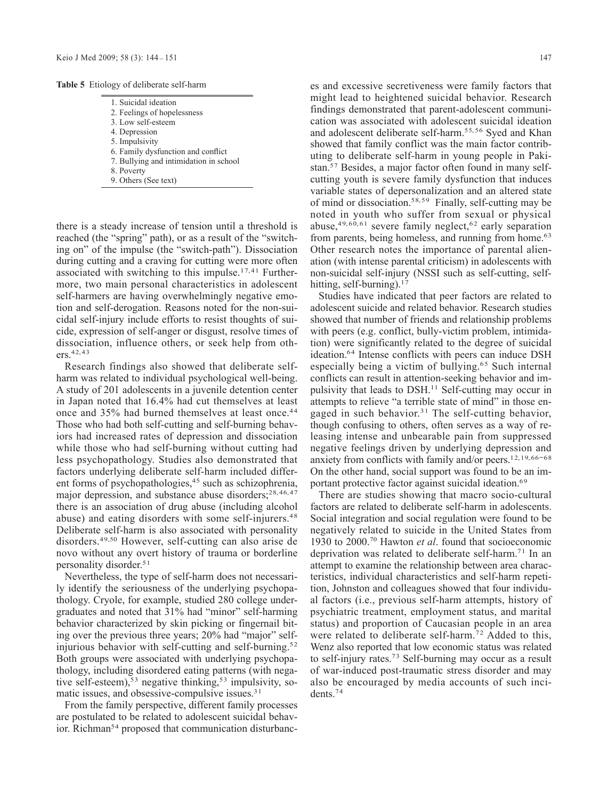**Table 5** Etiology of deliberate self-harm

| 1. Suicidal ideation                   |  |
|----------------------------------------|--|
| 2. Feelings of hopelessness            |  |
| 3. Low self-esteem                     |  |
| 4. Depression                          |  |
| 5. Impulsivity                         |  |
| 6. Family dysfunction and conflict     |  |
| 7. Bullying and intimidation in school |  |
| 8. Poverty                             |  |
| 9. Others (See text)                   |  |
|                                        |  |

there is a steady increase of tension until a threshold is reached (the "spring" path), or as a result of the "switching on" of the impulse (the "switch-path"). Dissociation during cutting and a craving for cutting were more often associated with switching to this impulse.<sup>17,41</sup> Furthermore, two main personal characteristics in adolescent self-harmers are having overwhelmingly negative emotion and self-derogation. Reasons noted for the non-suicidal self-injury include efforts to resist thoughts of suicide, expression of self-anger or disgust, resolve times of dissociation, influence others, or seek help from others.42, 43

Research findings also showed that deliberate selfharm was related to individual psychological well-being. A study of 201 adolescents in a juvenile detention center in Japan noted that 16.4% had cut themselves at least once and 35% had burned themselves at least once.<sup>44</sup> Those who had both self-cutting and self-burning behaviors had increased rates of depression and dissociation while those who had self-burning without cutting had less psychopathology. Studies also demonstrated that factors underlying deliberate self-harm included different forms of psychopathologies,<sup>45</sup> such as schizophrenia, major depression, and substance abuse disorders;<sup>28,46,47</sup> there is an association of drug abuse (including alcohol abuse) and eating disorders with some self-injurers.<sup>48</sup> Deliberate self-harm is also associated with personality disorders.49,50 However, self-cutting can also arise de novo without any overt history of trauma or borderline personality disorder.51

Nevertheless, the type of self-harm does not necessarily identify the seriousness of the underlying psychopathology. Cryole, for example, studied 280 college undergraduates and noted that 31% had "minor" self-harming behavior characterized by skin picking or fingernail biting over the previous three years; 20% had "major" selfinjurious behavior with self-cutting and self-burning.<sup>52</sup> Both groups were associated with underlying psychopathology, including disordered eating patterns (with negative self-esteem),<sup>53</sup> negative thinking,<sup>53</sup> impulsivity, somatic issues, and obsessive-compulsive issues.<sup>31</sup>

From the family perspective, different family processes are postulated to be related to adolescent suicidal behavior. Richman<sup>54</sup> proposed that communication disturbances and excessive secretiveness were family factors that might lead to heightened suicidal behavior. Research findings demonstrated that parent-adolescent communication was associated with adolescent suicidal ideation and adolescent deliberate self-harm.55, 56 Syed and Khan showed that family conflict was the main factor contributing to deliberate self-harm in young people in Pakistan.57 Besides, a major factor often found in many selfcutting youth is severe family dysfunction that induces variable states of depersonalization and an altered state of mind or dissociation.58, 59 Finally, self-cutting may be noted in youth who suffer from sexual or physical abuse,  $49,60,61$  severe family neglect,  $62$  early separation from parents, being homeless, and running from home.<sup>63</sup> Other research notes the importance of parental alienation (with intense parental criticism) in adolescents with non-suicidal self-injury (NSSI such as self-cutting, selfhitting, self-burning). $17$ 

Studies have indicated that peer factors are related to adolescent suicide and related behavior. Research studies showed that number of friends and relationship problems with peers (e.g. conflict, bully-victim problem, intimidation) were significantly related to the degree of suicidal ideation.64 Intense conflicts with peers can induce DSH especially being a victim of bullying.65 Such internal conflicts can result in attention-seeking behavior and impulsivity that leads to DSH.11 Self-cutting may occur in attempts to relieve "a terrible state of mind" in those engaged in such behavior.<sup>31</sup> The self-cutting behavior, though confusing to others, often serves as a way of releasing intense and unbearable pain from suppressed negative feelings driven by underlying depression and anxiety from conflicts with family and/or peers.12,19,66-68 On the other hand, social support was found to be an important protective factor against suicidal ideation.<sup>69</sup>

There are studies showing that macro socio-cultural factors are related to deliberate self-harm in adolescents. Social integration and social regulation were found to be negatively related to suicide in the United States from 1930 to 2000.70 Hawton *et al*. found that socioeconomic deprivation was related to deliberate self-harm.<sup>71</sup> In an attempt to examine the relationship between area characteristics, individual characteristics and self-harm repetition, Johnston and colleagues showed that four individual factors (i.e., previous self-harm attempts, history of psychiatric treatment, employment status, and marital status) and proportion of Caucasian people in an area were related to deliberate self-harm.<sup>72</sup> Added to this, Wenz also reported that low economic status was related to self-injury rates.73 Self-burning may occur as a result of war-induced post-traumatic stress disorder and may also be encouraged by media accounts of such incidents.74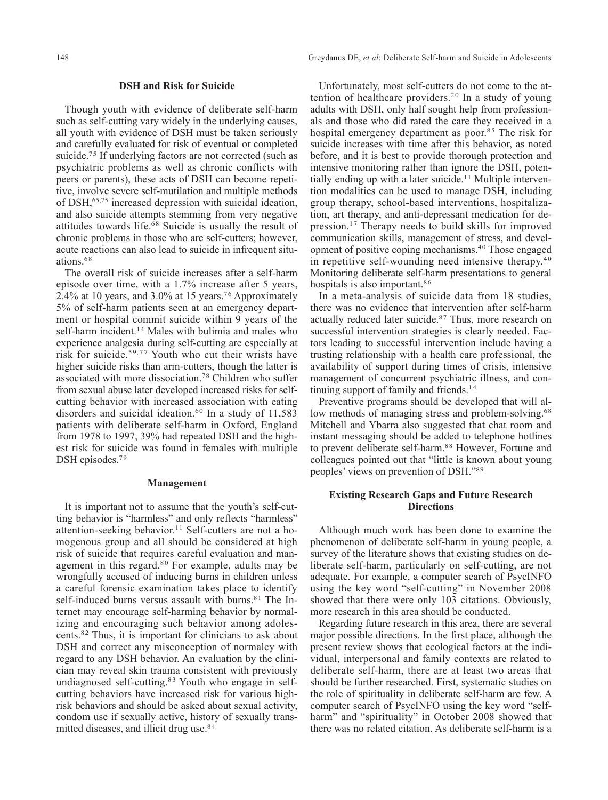#### **DSH and Risk for Suicide**

Though youth with evidence of deliberate self-harm such as self-cutting vary widely in the underlying causes, all youth with evidence of DSH must be taken seriously and carefully evaluated for risk of eventual or completed suicide.<sup>75</sup> If underlying factors are not corrected (such as psychiatric problems as well as chronic conflicts with peers or parents), these acts of DSH can become repetitive, involve severe self-mutilation and multiple methods of DSH,65,75 increased depression with suicidal ideation, and also suicide attempts stemming from very negative attitudes towards life. $68$  Suicide is usually the result of chronic problems in those who are self-cutters; however, acute reactions can also lead to suicide in infrequent situations.68

The overall risk of suicide increases after a self-harm episode over time, with a 1.7% increase after 5 years, 2.4% at 10 years, and 3.0% at 15 years.76 Approximately 5% of self-harm patients seen at an emergency department or hospital commit suicide within 9 years of the self-harm incident.<sup>14</sup> Males with bulimia and males who experience analgesia during self-cutting are especially at risk for suicide.59, 7 7 Youth who cut their wrists have higher suicide risks than arm-cutters, though the latter is associated with more dissociation.78 Children who suffer from sexual abuse later developed increased risks for selfcutting behavior with increased association with eating disorders and suicidal ideation.<sup>60</sup> In a study of  $11,583$ patients with deliberate self-harm in Oxford, England from 1978 to 1997, 39% had repeated DSH and the highest risk for suicide was found in females with multiple DSH episodes.<sup>79</sup>

#### **Management**

It is important not to assume that the youth's self-cutting behavior is "harmless" and only reflects "harmless" attention-seeking behavior.<sup>11</sup> Self-cutters are not a homogenous group and all should be considered at high risk of suicide that requires careful evaluation and management in this regard.<sup>80</sup> For example, adults may be wrongfully accused of inducing burns in children unless a careful forensic examination takes place to identify self-induced burns versus assault with burns.<sup>81</sup> The Internet may encourage self-harming behavior by normalizing and encouraging such behavior among adolescents.82 Thus, it is important for clinicians to ask about DSH and correct any misconception of normalcy with regard to any DSH behavior. An evaluation by the clinician may reveal skin trauma consistent with previously undiagnosed self-cutting.83 Youth who engage in selfcutting behaviors have increased risk for various highrisk behaviors and should be asked about sexual activity, condom use if sexually active, history of sexually transmitted diseases, and illicit drug use.<sup>84</sup>

Unfortunately, most self-cutters do not come to the attention of healthcare providers.<sup>20</sup> In a study of young adults with DSH, only half sought help from professionals and those who did rated the care they received in a hospital emergency department as poor.<sup>85</sup> The risk for suicide increases with time after this behavior, as noted before, and it is best to provide thorough protection and intensive monitoring rather than ignore the DSH, potentially ending up with a later suicide.<sup>11</sup> Multiple intervention modalities can be used to manage DSH, including group therapy, school-based interventions, hospitalization, art therapy, and anti-depressant medication for depression.17 Therapy needs to build skills for improved communication skills, management of stress, and development of positive coping mechanisms.40 Those engaged in repetitive self-wounding need intensive therapy.40 Monitoring deliberate self-harm presentations to general hospitals is also important.<sup>86</sup>

In a meta-analysis of suicide data from 18 studies, there was no evidence that intervention after self-harm actually reduced later suicide.87 Thus, more research on successful intervention strategies is clearly needed. Factors leading to successful intervention include having a trusting relationship with a health care professional, the availability of support during times of crisis, intensive management of concurrent psychiatric illness, and continuing support of family and friends.<sup>14</sup>

Preventive programs should be developed that will allow methods of managing stress and problem-solving.<sup>68</sup> Mitchell and Ybarra also suggested that chat room and instant messaging should be added to telephone hotlines to prevent deliberate self-harm.<sup>88</sup> However, Fortune and colleagues pointed out that "little is known about young peoples' views on prevention of DSH."89

#### **Existing Research Gaps and Future Research Directions**

Although much work has been done to examine the phenomenon of deliberate self-harm in young people, a survey of the literature shows that existing studies on deliberate self-harm, particularly on self-cutting, are not adequate. For example, a computer search of PsycINFO using the key word "self-cutting" in November 2008 showed that there were only 103 citations. Obviously, more research in this area should be conducted.

Regarding future research in this area, there are several major possible directions. In the first place, although the present review shows that ecological factors at the individual, interpersonal and family contexts are related to deliberate self-harm, there are at least two areas that should be further researched. First, systematic studies on the role of spirituality in deliberate self-harm are few. A computer search of PsycINFO using the key word "selfharm" and "spirituality" in October 2008 showed that there was no related citation. As deliberate self-harm is a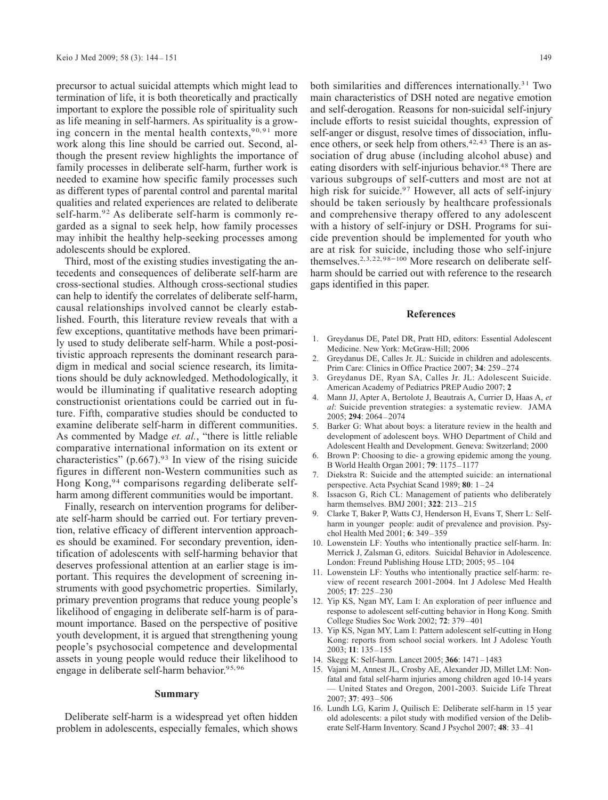precursor to actual suicidal attempts which might lead to termination of life, it is both theoretically and practically important to explore the possible role of spirituality such as life meaning in self-harmers. As spirituality is a growing concern in the mental health contexts,  $90, 91$  more work along this line should be carried out. Second, although the present review highlights the importance of family processes in deliberate self-harm, further work is needed to examine how specific family processes such as different types of parental control and parental marital qualities and related experiences are related to deliberate self-harm.<sup>92</sup> As deliberate self-harm is commonly regarded as a signal to seek help, how family processes may inhibit the healthy help-seeking processes among adolescents should be explored.

Third, most of the existing studies investigating the antecedents and consequences of deliberate self-harm are cross-sectional studies. Although cross-sectional studies can help to identify the correlates of deliberate self-harm, causal relationships involved cannot be clearly established. Fourth, this literature review reveals that with a few exceptions, quantitative methods have been primarily used to study deliberate self-harm. While a post-positivistic approach represents the dominant research paradigm in medical and social science research, its limitations should be duly acknowledged. Methodologically, it would be illuminating if qualitative research adopting constructionist orientations could be carried out in future. Fifth, comparative studies should be conducted to examine deliberate self-harm in different communities. As commented by Madge *et. al.*, "there is little reliable comparative international information on its extent or characteristics" (p.667).<sup>93</sup> In view of the rising suicide figures in different non-Western communities such as Hong Kong,<sup>94</sup> comparisons regarding deliberate selfharm among different communities would be important.

Finally, research on intervention programs for deliberate self-harm should be carried out. For tertiary prevention, relative efficacy of different intervention approaches should be examined. For secondary prevention, identification of adolescents with self-harming behavior that deserves professional attention at an earlier stage is important. This requires the development of screening instruments with good psychometric properties. Similarly, primary prevention programs that reduce young people's likelihood of engaging in deliberate self-harm is of paramount importance. Based on the perspective of positive youth development, it is argued that strengthening young people's psychosocial competence and developmental assets in young people would reduce their likelihood to engage in deliberate self-harm behavior.<sup>95, 96</sup>

#### **Summary**

Deliberate self-harm is a widespread yet often hidden problem in adolescents, especially females, which shows both similarities and differences internationally.<sup>31</sup> Two main characteristics of DSH noted are negative emotion and self-derogation. Reasons for non-suicidal self-injury include efforts to resist suicidal thoughts, expression of self-anger or disgust, resolve times of dissociation, influence others, or seek help from others.<sup>42, 43</sup> There is an association of drug abuse (including alcohol abuse) and eating disorders with self-injurious behavior.<sup>48</sup> There are various subgroups of self-cutters and most are not at high risk for suicide.<sup>97</sup> However, all acts of self-injury should be taken seriously by healthcare professionals and comprehensive therapy offered to any adolescent with a history of self-injury or DSH. Programs for suicide prevention should be implemented for youth who are at risk for suicide, including those who self-injure themselves.<sup>2, 3, 22, 98-100</sup> More research on deliberate selfharm should be carried out with reference to the research gaps identified in this paper.

#### **References**

- 1. Greydanus DE, Patel DR, Pratt HD, editors: Essential Adolescent Medicine. New York: McGraw-Hill; 2006
- 2. Greydanus DE, Calles Jr. JL: Suicide in children and adolescents. Prim Care: Clinics in Office Practice 2007; **34**: 259-274
- 3. Greydanus DE, Ryan SA, Calles Jr. JL: Adolescent Suicide. American Academy of Pediatrics PREP Audio 2007; **2**
- 4. Mann JJ, Apter A, Bertolote J, Beautrais A, Currier D, Haas A, *et al*: Suicide prevention strategies: a systematic review. JAMA 2005; **294**: 2064-2074
- 5. Barker G: What about boys: a literature review in the health and development of adolescent boys. WHO Department of Child and Adolescent Health and Development. Geneva: Switzerland; 2000
- Brown P: Choosing to die- a growing epidemic among the young. B World Health Organ 2001; **79**: 1175-1177
- 7. Diekstra R: Suicide and the attempted suicide: an international perspective. Acta Psychiat Scand 1989; **80**: 1-24
- 8. Issacson G, Rich CL: Management of patients who deliberately harm themselves. BMJ 2001; **322**: 213-215
- 9. Clarke T, Baker P, Watts CJ, Henderson H, Evans T, Sherr L: Selfharm in younger people: audit of prevalence and provision. Psychol Health Med 2001; **6**: 349-359
- 10. Lowenstein LF: Youths who intentionally practice self-harm. In: Merrick J, Zalsman G, editors. Suicidal Behavior in Adolescence. London: Freund Publishing House LTD; 2005; 95-104
- 11. Lowenstein LF: Youths who intentionally practice self-harm: review of recent research 2001-2004. Int J Adolesc Med Health 2005; **17**: 225-230
- 12. Yip KS, Ngan MY, Lam I: An exploration of peer influence and response to adolescent self-cutting behavior in Hong Kong. Smith College Studies Soc Work 2002; **72**: 379-401
- 13. Yip KS, Ngan MY, Lam I: Pattern adolescent self-cutting in Hong Kong: reports from school social workers. Int J Adolesc Youth 2003; **11**: 135-155
- 14. Skegg K: Self-harm. Lancet 2005; **366**: 1471-1483
- 15. Vajani M, Annest JL, Crosby AE, Alexander JD, Millet LM: Nonfatal and fatal self-harm injuries among children aged 10-14 years — United States and Oregon, 2001-2003. Suicide Life Threat 2007; **37**: 493-506
- 16. Lundh LG, Karim J, Quilisch E: Deliberate self-harm in 15 year old adolescents: a pilot study with modified version of the Deliberate Self-Harm Inventory. Scand J Psychol 2007; **48**: 33-41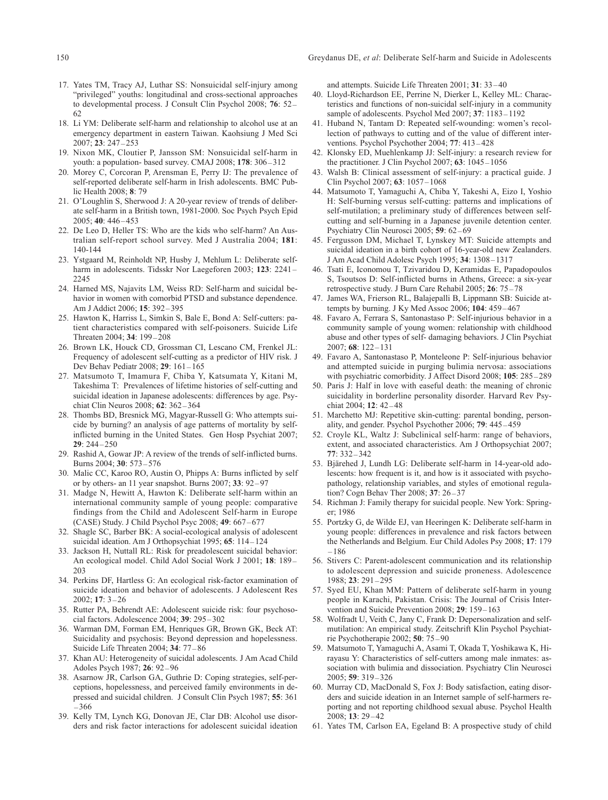- 17. Yates TM, Tracy AJ, Luthar SS: Nonsuicidal self-injury among "privileged" youths: longitudinal and cross-sectional approaches to developmental process. J Consult Clin Psychol 2008; **76**: 52- 62
- 18. Li YM: Deliberate self-harm and relationship to alcohol use at an emergency department in eastern Taiwan. Kaohsiung J Med Sci 2007; **23**: 247-253
- 19. Nixon MK, Cloutier P, Jansson SM: Nonsuicidal self-harm in youth: a population- based survey. CMAJ 2008; **178**: 306-312
- 20. Morey C, Corcoran P, Arensman E, Perry IJ: The prevalence of self-reported deliberate self-harm in Irish adolescents. BMC Public Health 2008; **8**: 79
- 21. O'Loughlin S, Sherwood J: A 20-year review of trends of deliberate self-harm in a British town, 1981-2000. Soc Psych Psych Epid 2005; **40**: 446-453
- 22. De Leo D, Heller TS: Who are the kids who self-harm? An Australian self-report school survey. Med J Australia 2004; **181**: 140-144
- 23. Ystgaard M, Reinholdt NP, Husby J, Mehlum L: Deliberate selfharm in adolescents. Tidsskr Nor Laegeforen 2003; **123**: 2241- 2245
- 24. Harned MS, Najavits LM, Weiss RD: Self-harm and suicidal behavior in women with comorbid PTSD and substance dependence. Am J Addict 2006; **15**: 392-395
- 25. Hawton K, Harriss L, Simkin S, Bale E, Bond A: Self-cutters: patient characteristics compared with self-poisoners. Suicide Life Threaten 2004; **34**: 199-208
- 26. Brown LK, Houck CD, Grossman CI, Lescano CM, Frenkel JL: Frequency of adolescent self-cutting as a predictor of HIV risk. J Dev Behav Pediatr 2008; **29**: 161-165
- 27. Matsumoto T, Imamura F, Chiba Y, Katsumata Y, Kitani M, Takeshima T: Prevalences of lifetime histories of self-cutting and suicidal ideation in Japanese adolescents: differences by age. Psychiat Clin Neuros 2008; **62**: 362-364
- 28. Thombs BD, Bresnick MG, Magyar-Russell G: Who attempts suicide by burning? an analysis of age patterns of mortality by selfinflicted burning in the United States. Gen Hosp Psychiat 2007; **29**: 244-250
- 29. Rashid A, Gowar JP: A review of the trends of self-inflicted burns. Burns 2004; **30**: 573-576
- 30. Malic CC, Karoo RO, Austin O, Phipps A: Burns inflicted by self or by others- an 11 year snapshot. Burns 2007; **33**: 92-97
- 31. Madge N, Hewitt A, Hawton K: Deliberate self-harm within an international community sample of young people: comparative findings from the Child and Adolescent Self-harm in Europe (CASE) Study. J Child Psychol Psyc 2008; **49**: 667-677
- 32. Shagle SC, Barber BK: A social-ecological analysis of adolescent suicidal ideation. Am J Orthopsychiat 1995; **65**: 114-124
- 33. Jackson H, Nuttall RL: Risk for preadolescent suicidal behavior: An ecological model. Child Adol Social Work J 2001; **18**: 189- 203
- 34. Perkins DF, Hartless G: An ecological risk-factor examination of suicide ideation and behavior of adolescents. J Adolescent Res 2002; **17**: 3-26
- 35. Rutter PA, Behrendt AE: Adolescent suicide risk: four psychosocial factors. Adolescence 2004; **39**: 295-302
- 36. Warman DM, Forman EM, Henriques GR, Brown GK, Beck AT: Suicidality and psychosis: Beyond depression and hopelessness. Suicide Life Threaten 2004; **34**: 77-86
- 37. Khan AU: Heterogeneity of suicidal adolescents. J Am Acad Child Adoles Psych 1987; **26**: 92-96
- 38. Asarnow JR, Carlson GA, Guthrie D: Coping strategies, self-perceptions, hopelessness, and perceived family environments in depressed and suicidal children. J Consult Clin Psych 1987; **55**: 361 -366
- 39. Kelly TM, Lynch KG, Donovan JE, Clar DB: Alcohol use disorders and risk factor interactions for adolescent suicidal ideation

and attempts. Suicide Life Threaten 2001; **31**: 33-40

- 40. Lloyd-Richardson EE, Perrine N, Dierker L, Kelley ML: Characteristics and functions of non-suicidal self-injury in a community sample of adolescents. Psychol Med 2007; **37**: 1183-1192
- 41. Huband N, Tantam D: Repeated self-wounding: women's recollection of pathways to cutting and of the value of different interventions. Psychol Psychother 2004; **77**: 413-428
- 42. Klonsky ED, Muehlenkamp JJ: Self-injury: a research review for the practitioner. J Clin Psychol 2007; **63**: 1045-1056
- 43. Walsh B: Clinical assessment of self-injury: a practical guide. J Clin Psychol 2007; **63**: 1057-1068
- 44. Matsumoto T, Yamaguchi A, Chiba Y, Takeshi A, Eizo I, Yoshio H: Self-burning versus self-cutting: patterns and implications of self-mutilation; a preliminary study of differences between selfcutting and self-burning in a Japanese juvenile detention center. Psychiatry Clin Neurosci 2005; **59**: 62-69
- 45. Fergusson DM, Michael T, Lynskey MT: Suicide attempts and suicidal ideation in a birth cohort of 16-year-old new Zealanders. J Am Acad Child Adolesc Psych 1995; **34**: 1308-1317
- 46. Tsati E, Iconomou T, Tzivaridou D, Keramidas E, Papadopoulos S, Tsoutsos D: Self-inflicted burns in Athens, Greece: a six-year retrospective study. J Burn Care Rehabil 2005; **26**: 75-78
- 47. James WA, Frierson RL, Balajepalli B, Lippmann SB: Suicide attempts by burning. J Ky Med Assoc 2006; **104**: 459-467
- 48. Favaro A, Ferrara S, Santonastaso P: Self-injurious behavior in a community sample of young women: relationship with childhood abuse and other types of self- damaging behaviors. J Clin Psychiat 2007; **68**: 122-131
- 49. Favaro A, Santonastaso P, Monteleone P: Self-injurious behavior and attempted suicide in purging bulimia nervosa: associations with psychiatric comorbidity. J Affect Disord 2008; **105**: 285-289
- 50. Paris J: Half in love with easeful death: the meaning of chronic suicidality in borderline personality disorder. Harvard Rev Psychiat 2004; **12**: 42-48
- 51. Marchetto MJ: Repetitive skin-cutting: parental bonding, personality, and gender. Psychol Psychother 2006; **79**: 445-459
- 52. Croyle KL, Waltz J: Subclinical self-harm: range of behaviors, extent, and associated characteristics. Am J Orthopsychiat 2007; **77**: 332-342
- 53. Bjärehed J, Lundh LG: Deliberate self-harm in 14-year-old adolescents: how frequent is it, and how is it associated with psychopathology, relationship variables, and styles of emotional regulation? Cogn Behav Ther 2008; **37**: 26-37
- 54. Richman J: Family therapy for suicidal people. New York: Springer; 1986
- 55. Portzky G, de Wilde EJ, van Heeringen K: Deliberate self-harm in young people: differences in prevalence and risk factors between the Netherlands and Belgium. Eur Child Adoles Psy 2008; **17**: 179 -186
- 56. Stivers C: Parent-adolescent communication and its relationship to adolescent depression and suicide proneness. Adolescence 1988; **23**: 291-295
- 57. Syed EU, Khan MM: Pattern of deliberate self-harm in young people in Karachi, Pakistan. Crisis: The Journal of Crisis Intervention and Suicide Prevention 2008; **29**: 159-163
- 58. Wolfradt U, Veith C, Jany C, Frank D: Depersonalization and selfmutilation: An empirical study. Zeitschrift Klin Psychol Psychiatrie Psychotherapie 2002; **50**: 75-90
- 59. Matsumoto T, Yamaguchi A, Asami T, Okada T, Yoshikawa K, Hirayasu Y: Characteristics of self-cutters among male inmates: association with bulimia and dissociation. Psychiatry Clin Neurosci 2005; **59**: 319-326
- 60. Murray CD, MacDonald S, Fox J: Body satisfaction, eating disorders and suicide ideation in an Internet sample of self-harmers reporting and not reporting childhood sexual abuse. Psychol Health 2008; **13**: 29-42
- 61. Yates TM, Carlson EA, Egeland B: A prospective study of child